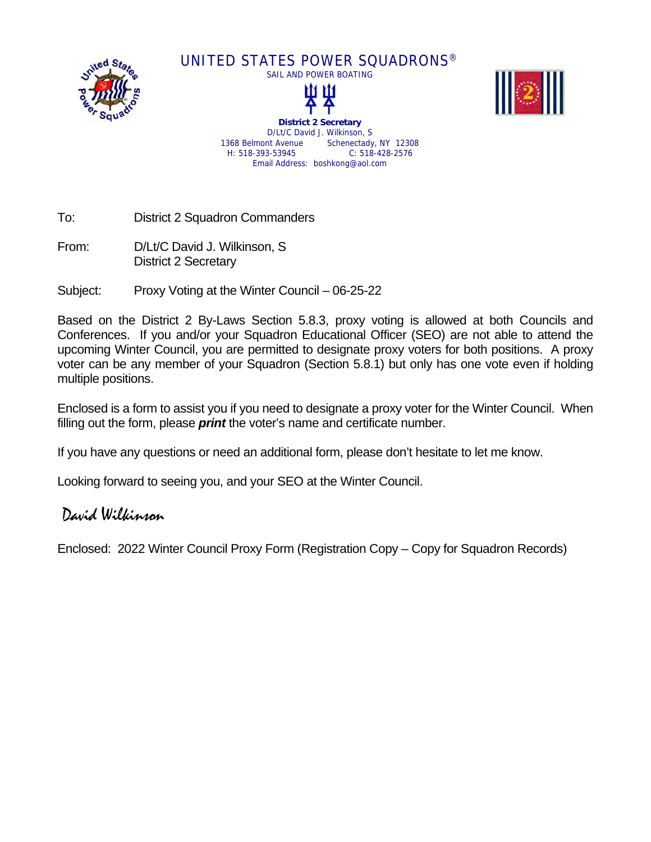

UNITED STATES POWER SQUADRONS®





**District 2 Secretary**  D/Lt/C David J. Wilkinson, S 1368 Belmont Avenue Schenectady, NY 12308 H: 518-393-53945 C: 518-428-2576 Email Address: boshkong@aol.com

To: District 2 Squadron Commanders

From: D/Lt/C David J. Wilkinson, S District 2 Secretary

Subject: Proxy Voting at the Winter Council – 06-25-22

Based on the District 2 By-Laws Section 5.8.3, proxy voting is allowed at both Councils and Conferences. If you and/or your Squadron Educational Officer (SEO) are not able to attend the upcoming Winter Council, you are permitted to designate proxy voters for both positions. A proxy voter can be any member of your Squadron (Section 5.8.1) but only has one vote even if holding multiple positions.

Enclosed is a form to assist you if you need to designate a proxy voter for the Winter Council. When filling out the form, please *print* the voter's name and certificate number.

If you have any questions or need an additional form, please don't hesitate to let me know.

Looking forward to seeing you, and your SEO at the Winter Council.

## David Wilkinson

Enclosed: 2022 Winter Council Proxy Form (Registration Copy – Copy for Squadron Records)